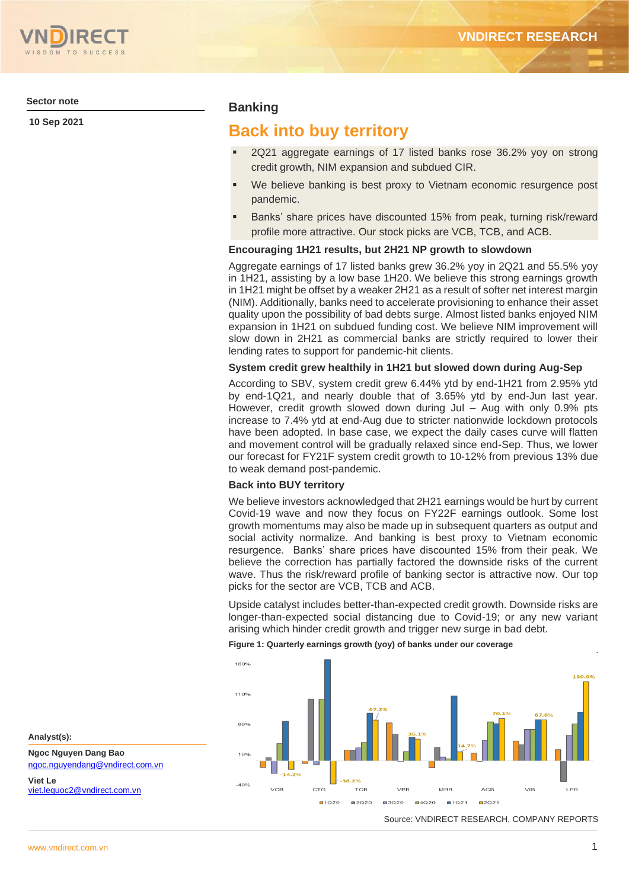**Sector note**

**10 Sep 2021**

## **Banking**

# **Back into buy territory**

- 2Q21 aggregate earnings of 17 listed banks rose 36.2% yoy on strong credit growth, NIM expansion and subdued CIR.
- We believe banking is best proxy to Vietnam economic resurgence post pandemic.
- Banks' share prices have discounted 15% from peak, turning risk/reward profile more attractive. Our stock picks are VCB, TCB, and ACB.

### **Encouraging 1H21 results, but 2H21 NP growth to slowdown**

Aggregate earnings of 17 listed banks grew 36.2% yoy in 2Q21 and 55.5% yoy in 1H21, assisting by a low base 1H20. We believe this strong earnings growth in 1H21 might be offset by a weaker 2H21 as a result of softer net interest margin (NIM). Additionally, banks need to accelerate provisioning to enhance their asset quality upon the possibility of bad debts surge. Almost listed banks enjoyed NIM expansion in 1H21 on subdued funding cost. We believe NIM improvement will slow down in 2H21 as commercial banks are strictly required to lower their lending rates to support for pandemic-hit clients.

#### **System credit grew healthily in 1H21 but slowed down during Aug-Sep**

According to SBV, system credit grew 6.44% ytd by end-1H21 from 2.95% ytd by end-1Q21, and nearly double that of 3.65% ytd by end-Jun last year. However, credit growth slowed down during Jul – Aug with only 0.9% pts increase to 7.4% ytd at end-Aug due to stricter nationwide lockdown protocols have been adopted. In base case, we expect the daily cases curve will flatten and movement control will be gradually relaxed since end-Sep. Thus, we lower our forecast for FY21F system credit growth to 10-12% from previous 13% due to weak demand post-pandemic.

#### **Back into BUY territory**

We believe investors acknowledged that 2H21 earnings would be hurt by current Covid-19 wave and now they focus on FY22F earnings outlook. Some lost growth momentums may also be made up in subsequent quarters as output and social activity normalize. And banking is best proxy to Vietnam economic resurgence. Banks' share prices have discounted 15% from their peak. We believe the correction has partially factored the downside risks of the current wave. Thus the risk/reward profile of banking sector is attractive now. Our top picks for the sector are VCB, TCB and ACB.

Upside catalyst includes better-than-expected credit growth. Downside risks are longer-than-expected social distancing due to Covid-19; or any new variant arising which hinder credit growth and trigger new surge in bad debt.

**Figure 1: Quarterly earnings growth (yoy) of banks under our coverage**



Source: VNDIRECT RESEARCH, COMPANY REPORTS

**Analyst(s):**

**Viet Le**

**Ngoc Nguyen Dang Bao**

[viet.lequoc2@vndirect.com.vn](mailto:viet.lequoc2@vndirect.com.vn)

[ngoc.nguyendang@vndirect.com.vn](mailto:ngoc.nguyendang@vndirect.com.vn)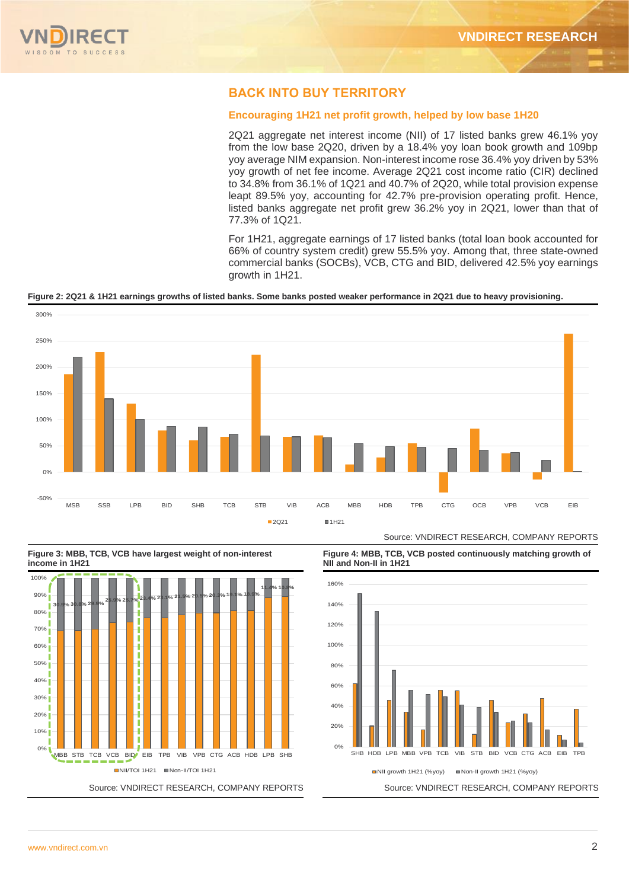

# **BACK INTO BUY TERRITORY**

### **Encouraging 1H21 net profit growth, helped by low base 1H20**

2Q21 aggregate net interest income (NII) of 17 listed banks grew 46.1% yoy from the low base 2Q20, driven by a 18.4% yoy loan book growth and 109bp yoy average NIM expansion. Non-interest income rose 36.4% yoy driven by 53% yoy growth of net fee income. Average 2Q21 cost income ratio (CIR) declined to 34.8% from 36.1% of 1Q21 and 40.7% of 2Q20, while total provision expense leapt 89.5% yoy, accounting for 42.7% pre-provision operating profit. Hence, listed banks aggregate net profit grew 36.2% yoy in 2Q21, lower than that of 77.3% of 1Q21.

For 1H21, aggregate earnings of 17 listed banks (total loan book accounted for 66% of country system credit) grew 55.5% yoy. Among that, three state-owned commercial banks (SOCBs), VCB, CTG and BID, delivered 42.5% yoy earnings growth in 1H21.

#### **Figure 2: 2Q21 & 1H21 earnings growths of listed banks. Some banks posted weaker performance in 2Q21 due to heavy provisioning.**







**Figure 4: MBB, TCB, VCB posted continuously matching growth of NII and Non-II in 1H21**

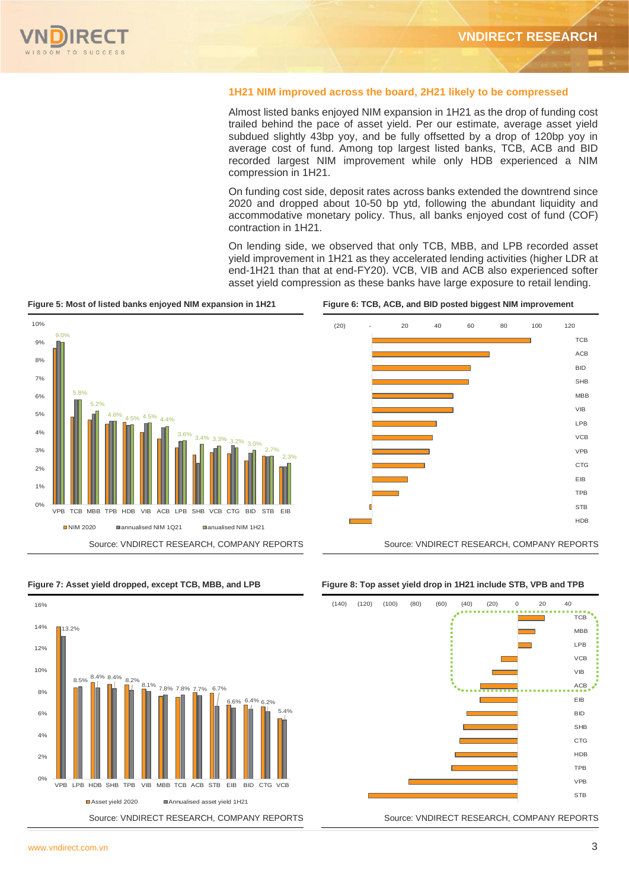

#### **1H21 NIM improved across the board, 2H21 likely to be compressed**

Almost listed banks enjoyed NIM expansion in 1H21 as the drop of funding cost trailed behind the pace of asset yield. Per our estimate, average asset yield subdued slightly 43bp yoy, and be fully offsetted by a drop of 120bp yoy in average cost of fund. Among top largest listed banks, TCB, ACB and BID recorded largest NIM improvement while only HDB experienced a NIM compression in 1H21.

On funding cost side, deposit rates across banks extended the downtrend since 2020 and dropped about 10-50 bp ytd, following the abundant liquidity and accommodative monetary policy. Thus, all banks enjoyed cost of fund (COF) contraction in 1H21.

On lending side, we observed that only TCB, MBB, and LPB recorded asset yield improvement in 1H21 as they accelerated lending activities (higher LDR at end-1H21 than that at end-FY20). VCB, VIB and ACB also experienced softer asset yield compression as these banks have large exposure to retail lending.

**Figure 5: Most of listed banks enjoyed NIM expansion in 1H21 Figure 6: TCB, ACB, and BID posted biggest NIM improvement**





#### **Figure 7: Asset yield dropped, except TCB, MBB, and LPB Figure 8: Top asset yield drop in 1H21 include STB, VPB and TPB**



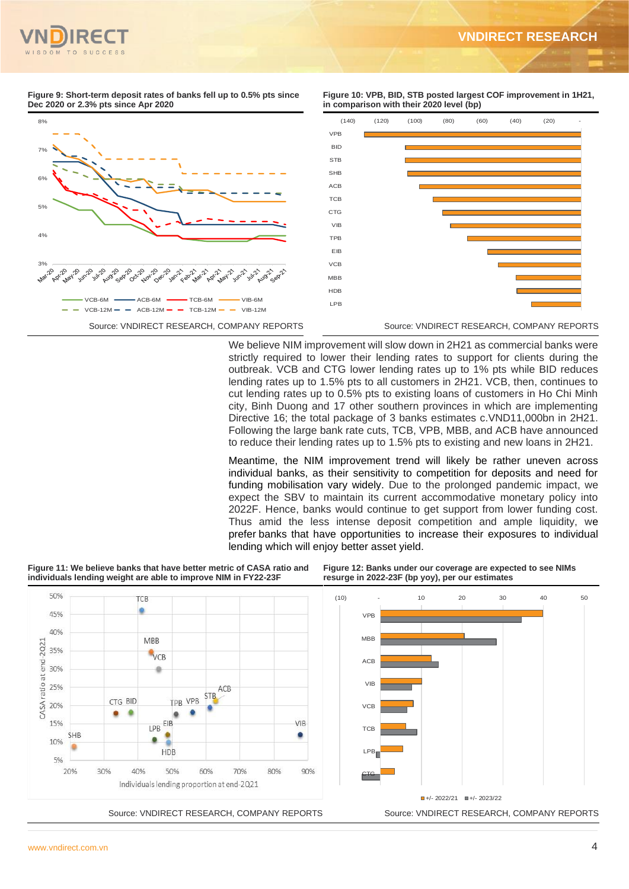#### **Figure 9: Short-term deposit rates of banks fell up to 0.5% pts since Dec 2020 or 2.3% pts since Apr 2020**

**Figure 10: VPB, BID, STB posted largest COF improvement in 1H21, in comparison with their 2020 level (bp)**



We believe NIM improvement will slow down in 2H21 as commercial banks were strictly required to lower their lending rates to support for clients during the outbreak. VCB and CTG lower lending rates up to 1% pts while BID reduces lending rates up to 1.5% pts to all customers in 2H21. VCB, then, continues to cut lending rates up to 0.5% pts to existing loans of customers in Ho Chi Minh city, Binh Duong and 17 other southern provinces in which are implementing Directive 16; the total package of 3 banks estimates c.VND11,000bn in 2H21. Following the large bank rate cuts, TCB, VPB, MBB, and ACB have announced to reduce their lending rates up to 1.5% pts to existing and new loans in 2H21.

Meantime, the NIM improvement trend will likely be rather uneven across individual banks, as their sensitivity to competition for deposits and need for funding mobilisation vary widely. Due to the prolonged pandemic impact, we expect the SBV to maintain its current accommodative monetary policy into 2022F. Hence, banks would continue to get support from lower funding cost. Thus amid the less intense deposit competition and ample liquidity, we prefer banks that have opportunities to increase their exposures to individual lending which will enjoy better asset yield.

**Figure 11: We believe banks that have better metric of CASA ratio and individuals lending weight are able to improve NIM in FY22-23F**

**Figure 12: Banks under our coverage are expected to see NIMs resurge in 2022-23F (bp yoy), per our estimates**

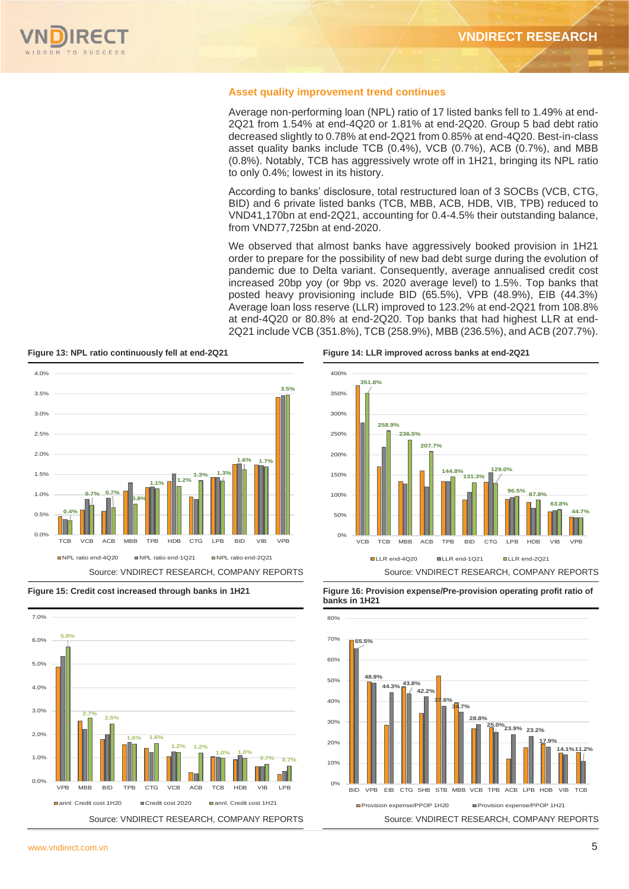

#### **Asset quality improvement trend continues**

Average non-performing loan (NPL) ratio of 17 listed banks fell to 1.49% at end-2Q21 from 1.54% at end-4Q20 or 1.81% at end-2Q20. Group 5 bad debt ratio decreased slightly to 0.78% at end-2Q21 from 0.85% at end-4Q20. Best-in-class asset quality banks include TCB (0.4%), VCB (0.7%), ACB (0.7%), and MBB (0.8%). Notably, TCB has aggressively wrote off in 1H21, bringing its NPL ratio to only 0.4%; lowest in its history.

According to banks' disclosure, total restructured loan of 3 SOCBs (VCB, CTG, BID) and 6 private listed banks (TCB, MBB, ACB, HDB, VIB, TPB) reduced to VND41,170bn at end-2Q21, accounting for 0.4-4.5% their outstanding balance, from VND77,725bn at end-2020.

We observed that almost banks have aggressively booked provision in 1H21 order to prepare for the possibility of new bad debt surge during the evolution of pandemic due to Delta variant. Consequently, average annualised credit cost increased 20bp yoy (or 9bp vs. 2020 average level) to 1.5%. Top banks that posted heavy provisioning include BID (65.5%), VPB (48.9%), EIB (44.3%) Average loan loss reserve (LLR) improved to 123.2% at end-2Q21 from 108.8% at end-4Q20 or 80.8% at end-2Q20. Top banks that had highest LLR at end-2Q21 include VCB (351.8%), TCB (258.9%), MBB (236.5%), and ACB (207.7%).









**Figure 13: NPL ratio continuously fell at end-2Q21 Figure 14: LLR improved across banks at end-2Q21**



**Figure 15: Credit cost increased through banks in 1H21 Figure 16: Provision expense/Pre-provision operating profit ratio of banks in 1H21**

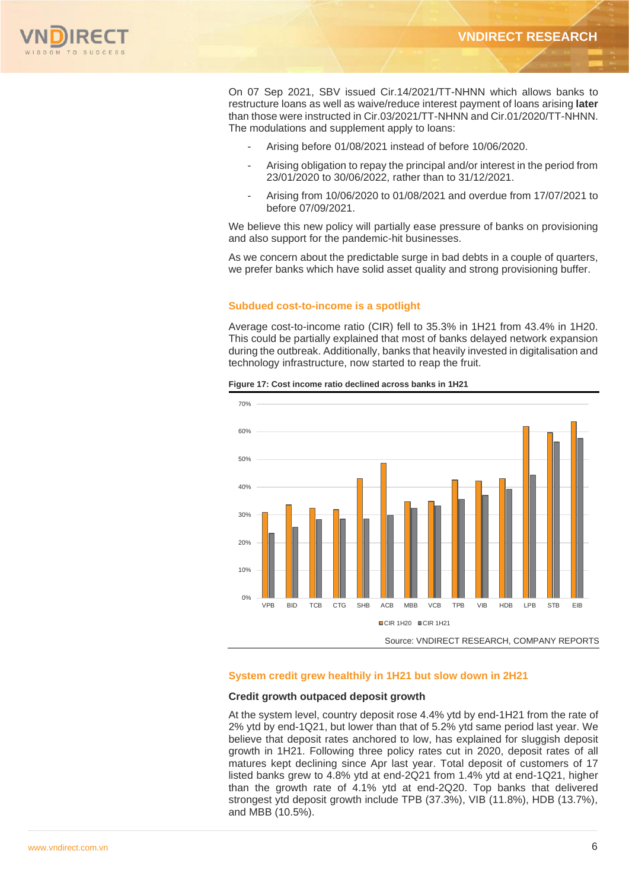

On 07 Sep 2021, SBV issued Cir.14/2021/TT-NHNN which allows banks to restructure loans as well as waive/reduce interest payment of loans arising **later** than those were instructed in Cir.03/2021/TT-NHNN and Cir.01/2020/TT-NHNN. The modulations and supplement apply to loans:

- Arising before 01/08/2021 instead of before 10/06/2020.
- Arising obligation to repay the principal and/or interest in the period from 23/01/2020 to 30/06/2022, rather than to 31/12/2021.
- Arising from 10/06/2020 to 01/08/2021 and overdue from 17/07/2021 to before 07/09/2021.

We believe this new policy will partially ease pressure of banks on provisioning and also support for the pandemic-hit businesses.

As we concern about the predictable surge in bad debts in a couple of quarters, we prefer banks which have solid asset quality and strong provisioning buffer.

#### **Subdued cost-to-income is a spotlight**

Average cost-to-income ratio (CIR) fell to 35.3% in 1H21 from 43.4% in 1H20. This could be partially explained that most of banks delayed network expansion during the outbreak. Additionally, banks that heavily invested in digitalisation and technology infrastructure, now started to reap the fruit.



**Figure 17: Cost income ratio declined across banks in 1H21**

#### **System credit grew healthily in 1H21 but slow down in 2H21**

#### **Credit growth outpaced deposit growth**

At the system level, country deposit rose 4.4% ytd by end-1H21 from the rate of 2% ytd by end-1Q21, but lower than that of 5.2% ytd same period last year. We believe that deposit rates anchored to low, has explained for sluggish deposit growth in 1H21. Following three policy rates cut in 2020, deposit rates of all matures kept declining since Apr last year. Total deposit of customers of 17 listed banks grew to 4.8% ytd at end-2Q21 from 1.4% ytd at end-1Q21, higher than the growth rate of 4.1% ytd at end-2Q20. Top banks that delivered strongest ytd deposit growth include TPB (37.3%), VIB (11.8%), HDB (13.7%), and MBB (10.5%).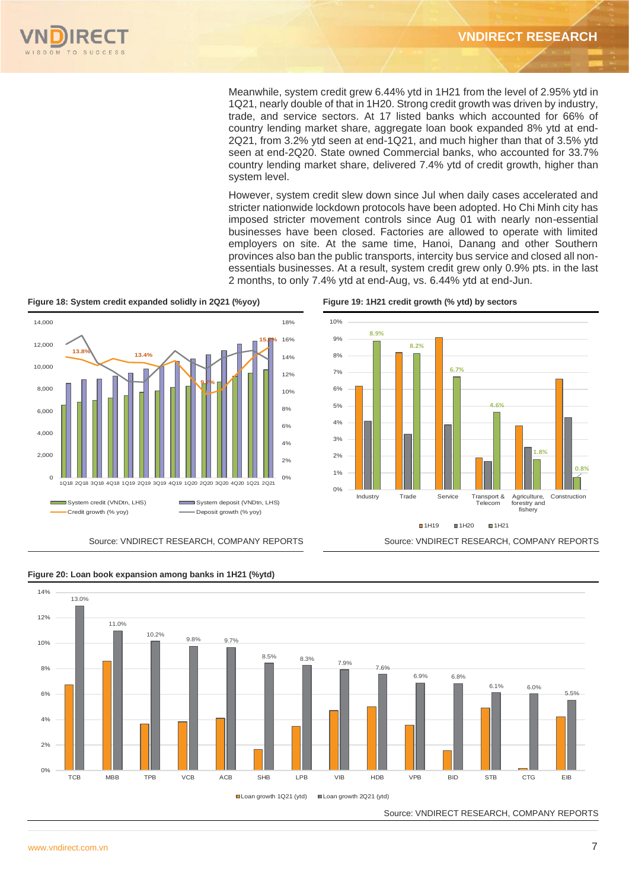

Meanwhile, system credit grew 6.44% ytd in 1H21 from the level of 2.95% ytd in 1Q21, nearly double of that in 1H20. Strong credit growth was driven by industry, trade, and service sectors. At 17 listed banks which accounted for 66% of country lending market share, aggregate loan book expanded 8% ytd at end-2Q21, from 3.2% ytd seen at end-1Q21, and much higher than that of 3.5% ytd seen at end-2Q20. State owned Commercial banks, who accounted for 33.7% country lending market share, delivered 7.4% ytd of credit growth, higher than system level.

However, system credit slew down since Jul when daily cases accelerated and stricter nationwide lockdown protocols have been adopted. Ho Chi Minh city has imposed stricter movement controls since Aug 01 with nearly non-essential businesses have been closed. Factories are allowed to operate with limited employers on site. At the same time, Hanoi, Danang and other Southern provinces also ban the public transports, intercity bus service and closed all nonessentials businesses. At a result, system credit grew only 0.9% pts. in the last 2 months, to only 7.4% ytd at end-Aug, vs. 6.44% ytd at end-Jun.

**Figure 18: System credit expanded solidly in 2Q21 (%yoy) Figure 19: 1H21 credit growth (% ytd) by sectors**









**Figure 20: Loan book expansion among banks in 1H21 (%ytd)**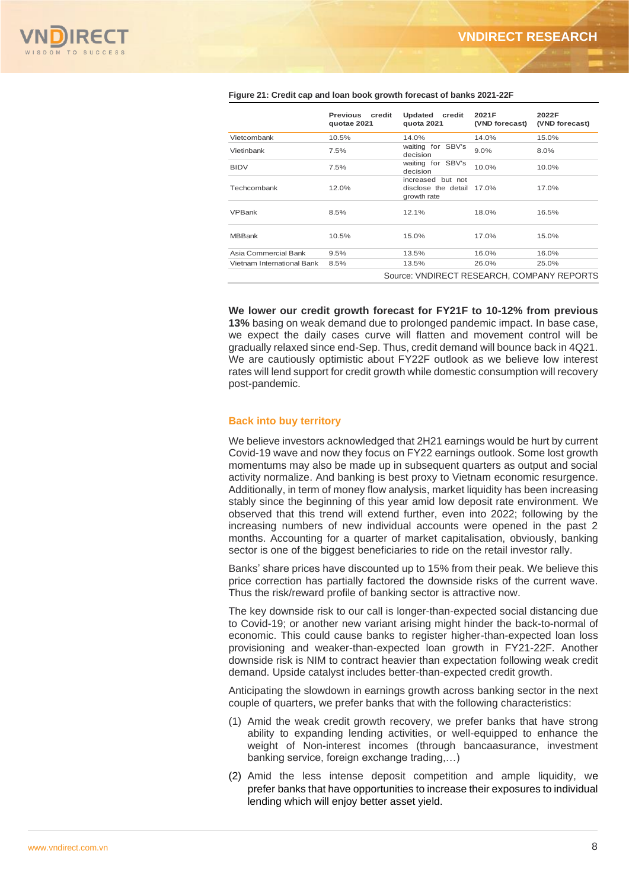

|                            | <b>Previous</b><br>credit<br>quotae 2021 | Updated credit<br>quota 2021                                  | 2021F<br>(VND forecast) | 2022F<br>(VND forecast) |
|----------------------------|------------------------------------------|---------------------------------------------------------------|-------------------------|-------------------------|
| Vietcombank                | 10.5%                                    | 14.0%                                                         | 14.0%                   | 15.0%                   |
| Vietinbank                 | 7.5%                                     | waiting for SBV's<br>decision                                 | $9.0\%$                 | 8.0%                    |
| <b>BIDV</b>                | 7.5%                                     | waiting for SBV's<br>decision                                 | 10.0%                   | 10.0%                   |
| Techcombank                | 12.0%                                    | increased but not<br>disclose the detail 17.0%<br>growth rate |                         | 17.0%                   |
| <b>VPBank</b>              | 8.5%                                     | 12.1%                                                         | 18.0%                   | 16.5%                   |
| <b>MBBank</b>              | 10.5%                                    | 15.0%                                                         | 17.0%                   | 15.0%                   |
| Asia Commercial Bank       | 9.5%                                     | 13.5%                                                         | 16.0%                   | 16.0%                   |
| Vietnam International Bank | 8.5%                                     | 13.5%                                                         | 26.0%                   | 25.0%                   |
|                            |                                          | Source: VNDIRECT RESEARCH, COMPANY REPORTS                    |                         |                         |

#### **Figure 21: Credit cap and loan book growth forecast of banks 2021-22F**

**We lower our credit growth forecast for FY21F to 10-12% from previous 13%** basing on weak demand due to prolonged pandemic impact. In base case, we expect the daily cases curve will flatten and movement control will be gradually relaxed since end-Sep. Thus, credit demand will bounce back in 4Q21. We are cautiously optimistic about FY22F outlook as we believe low interest rates will lend support for credit growth while domestic consumption will recovery post-pandemic.

#### **Back into buy territory**

We believe investors acknowledged that 2H21 earnings would be hurt by current Covid-19 wave and now they focus on FY22 earnings outlook. Some lost growth momentums may also be made up in subsequent quarters as output and social activity normalize. And banking is best proxy to Vietnam economic resurgence. Additionally, in term of money flow analysis, market liquidity has been increasing stably since the beginning of this year amid low deposit rate environment. We observed that this trend will extend further, even into 2022; following by the increasing numbers of new individual accounts were opened in the past 2 months. Accounting for a quarter of market capitalisation, obviously, banking sector is one of the biggest beneficiaries to ride on the retail investor rally.

Banks' share prices have discounted up to 15% from their peak. We believe this price correction has partially factored the downside risks of the current wave. Thus the risk/reward profile of banking sector is attractive now.

The key downside risk to our call is longer-than-expected social distancing due to Covid-19; or another new variant arising might hinder the back-to-normal of economic. This could cause banks to register higher-than-expected loan loss provisioning and weaker-than-expected loan growth in FY21-22F. Another downside risk is NIM to contract heavier than expectation following weak credit demand. Upside catalyst includes better-than-expected credit growth.

Anticipating the slowdown in earnings growth across banking sector in the next couple of quarters, we prefer banks that with the following characteristics:

- (1) Amid the weak credit growth recovery, we prefer banks that have strong ability to expanding lending activities, or well-equipped to enhance the weight of Non-interest incomes (through bancaasurance, investment banking service, foreign exchange trading,…)
- (2) Amid the less intense deposit competition and ample liquidity, we prefer banks that have opportunities to increase their exposures to individual lending which will enjoy better asset yield.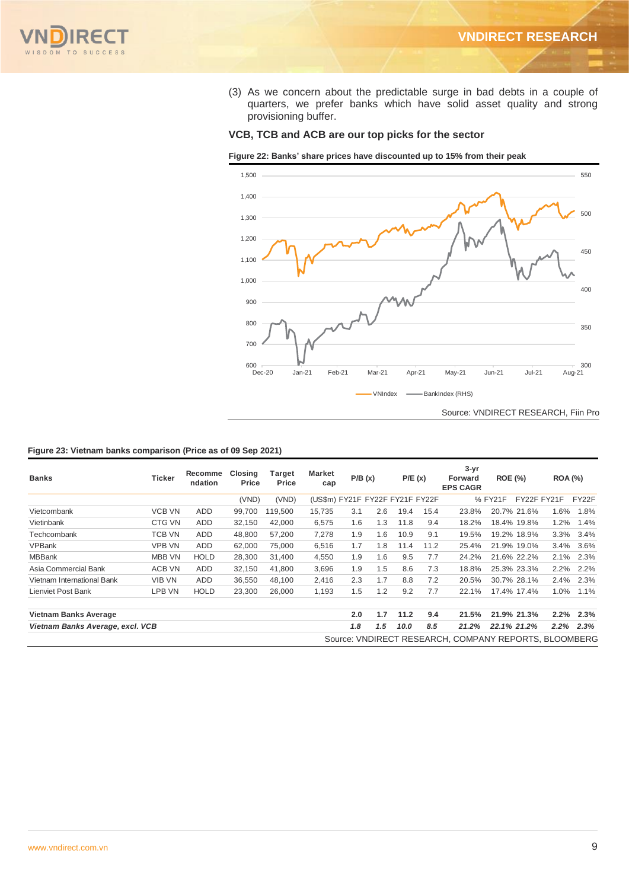

(3) As we concern about the predictable surge in bad debts in a couple of quarters, we prefer banks which have solid asset quality and strong provisioning buffer.

### **VCB, TCB and ACB are our top picks for the sector**

**Figure 22: Banks' share prices have discounted up to 15% from their peak**



#### **Figure 23: Vietnam banks comparison (Price as of 09 Sep 2021)**

| <b>Banks</b>                     | Ticker        | Recomme<br>ndation | Closing<br>Price | Target<br><b>Price</b> | Market<br>cap                   |     | P/B(x) |      | P/E(x) | $3 - yr$<br><b>Forward</b><br><b>EPS CAGR</b>         | <b>ROE (%)</b> |             | <b>ROA (%)</b> |       |
|----------------------------------|---------------|--------------------|------------------|------------------------|---------------------------------|-----|--------|------|--------|-------------------------------------------------------|----------------|-------------|----------------|-------|
|                                  |               |                    | (VND)            | (VND)                  | (US\$m) FY21F FY22F FY21F FY22F |     |        |      |        |                                                       | % FY21F        |             | FY22F FY21F    | FY22F |
| Vietcombank                      | <b>VCB VN</b> | ADD.               | 99,700           | 119,500                | 15,735                          | 3.1 | 2.6    | 19.4 | 15.4   | 23.8%                                                 |                | 20.7% 21.6% | 1.6%           | 1.8%  |
| Vietinbank                       | CTG VN        | <b>ADD</b>         | 32,150           | 42,000                 | 6,575                           | 1.6 | 1.3    | 11.8 | 9.4    | 18.2%                                                 |                | 18.4% 19.8% | 1.2%           | 1.4%  |
| Techcombank                      | TCB VN        | ADD.               | 48,800           | 57,200                 | 7,278                           | 1.9 | 1.6    | 10.9 | 9.1    | 19.5%                                                 |                | 19.2% 18.9% | 3.3%           | 3.4%  |
| <b>VPBank</b>                    | VPB VN        | ADD.               | 62,000           | 75,000                 | 6,516                           | 1.7 | 1.8    | 11.4 | 11.2   | 25.4%                                                 |                | 21.9% 19.0% | 3.4%           | 3.6%  |
| <b>MBBank</b>                    | MBB VN        | <b>HOLD</b>        | 28,300           | 31,400                 | 4,550                           | 1.9 | 1.6    | 9.5  | 7.7    | 24.2%                                                 |                | 21.6% 22.2% | 2.1%           | 2.3%  |
| Asia Commercial Bank             | ACB VN        | <b>ADD</b>         | 32,150           | 41,800                 | 3,696                           | 1.9 | 1.5    | 8.6  | 7.3    | 18.8%                                                 |                | 25.3% 23.3% | $2.2\%$        | 2.2%  |
| Vietnam International Bank       | VIB VN        | ADD.               | 36,550           | 48,100                 | 2,416                           | 2.3 | 1.7    | 8.8  | 7.2    | 20.5%                                                 |                | 30.7% 28.1% | 2.4%           | 2.3%  |
| Lienviet Post Bank               | LPB VN        | <b>HOLD</b>        | 23,300           | 26,000                 | 1,193                           | 1.5 | 1.2    | 9.2  | 7.7    | 22.1%                                                 |                | 17.4% 17.4% | 1.0%           | 1.1%  |
| Vietnam Banks Average            |               |                    |                  |                        |                                 | 2.0 | 1.7    | 11.2 | 9.4    | 21.5%                                                 |                | 21.9% 21.3% | 2.2%           | 2.3%  |
| Vietnam Banks Average, excl. VCB |               |                    |                  |                        |                                 | 1.8 | 1.5    | 10.0 | 8.5    | 21.2%                                                 | 22.1% 21.2%    |             | $2.2\%$        | 2.3%  |
|                                  |               |                    |                  |                        |                                 |     |        |      |        | Source: VNDIRECT RESEARCH, COMPANY REPORTS, BLOOMBERG |                |             |                |       |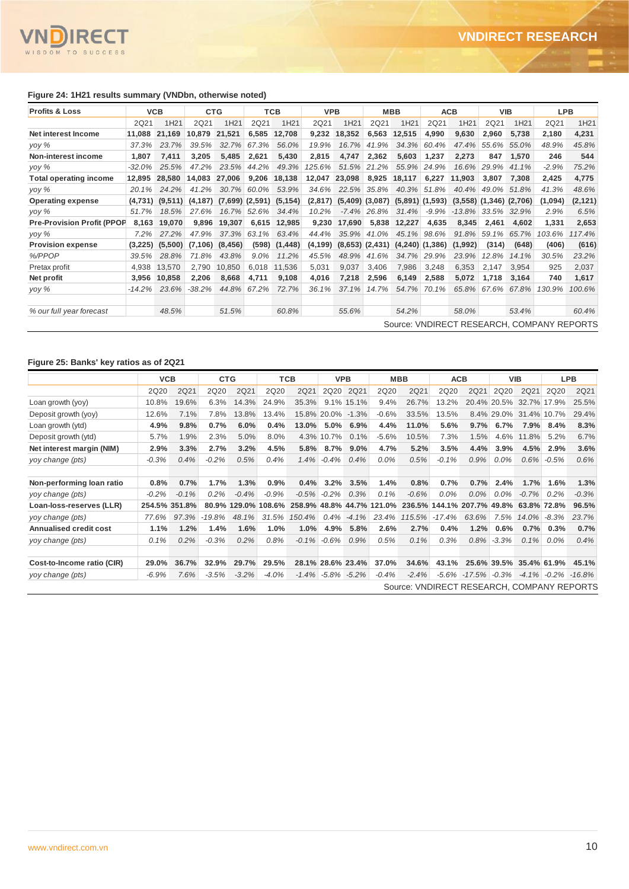

#### **Figure 24: 1H21 results summary (VNDbn, otherwise noted)**

| <b>Profits &amp; Loss</b>         | <b>VCB</b> |                  | <b>CTG</b>          |                  | <b>TCB</b>          |                  | <b>VPB</b> |                  | <b>MBB</b>          |                                         | <b>ACB</b> |                               | <b>VIB</b>  |                  | <b>LPB</b> |                                            |
|-----------------------------------|------------|------------------|---------------------|------------------|---------------------|------------------|------------|------------------|---------------------|-----------------------------------------|------------|-------------------------------|-------------|------------------|------------|--------------------------------------------|
|                                   | 2Q21       | 1H <sub>21</sub> | 2Q21                | 1H <sub>21</sub> | 2Q21                | 1H <sub>21</sub> | 2Q21       | 1H <sub>21</sub> | 2Q21                | 1H21                                    | 2Q21       | 1H <sub>21</sub>              | 2Q21        | 1H <sub>21</sub> | 2Q21       | 1H <sub>21</sub>                           |
| Net interest Income               | 11,088     | 21.169           | 10.879              | 21,521           | 6,585               | 12,708           | 9,232      | 18,352           | 6,563               | 12,515                                  | 4,990      | 9,630                         | 2,960       | 5.738            | 2,180      | 4,231                                      |
| yoy %                             | 37.3%      | 23.7%            | 39.5%               | 32.7%            | 67.3%               | 56.0%            | 19.9%      | 16.7%            | 41.9%               | 34.3%                                   | 60.4%      | 47.4%                         | 55.6%       | 55.0%            | 48.9%      | 45.8%                                      |
| Non-interest income               | 1,807      | 7,411            | 3,205               | 5,485            | 2.621               | 5,430            | 2,815      | 4,747            | 2,362               | 5,603                                   | 1,237      | 2.273                         | 847         | 1,570            | 246        | 544                                        |
| yoy %                             | $-32.0%$   | 25.5%            | 47.2%               | 23.5%            | 44.2%               | 49.3%            | 125.6%     | 51.5%            | 21.2%               | 55.9%                                   | 24.9%      | 16.6%                         | 29.9%       | 41.1%            | $-2.9%$    | 75.2%                                      |
| <b>Total operating income</b>     | 12.895     | 28,580           | 14.083              | 27,006           | 9,206               | 18,138           | 12,047     | 23,098           | 8,925               | 18,117                                  | 6,227      | 11.903                        | 3,807       | 7,308            | 2,425      | 4,775                                      |
| yoy %                             | 20.1%      | 24.2%            | 41.2%               | 30.7%            | 60.0%               | 53.9%            | 34.6%      | 22.5%            | 35.8%               | 40.3%                                   | 51.8%      | 40.4%                         | 49.0%       | 51.8%            | 41.3%      | 48.6%                                      |
| <b>Operating expense</b>          | (4,731)    |                  | $(9,511)$ $(4,187)$ |                  | $(7,699)$ $(2,591)$ | (5, 154)         | (2,817)    |                  |                     | $(5,409)$ $(3,087)$ $(5,891)$ $(1,593)$ |            | $(3,558)$ $(1,346)$ $(2,706)$ |             |                  | (1,094)    | (2, 121)                                   |
| yoy %                             | 51.7%      | 18.5%            | 27.6%               |                  | 16.7% 52.6%         | 34.4%            | 10.2%      |                  | $-7.4\%$ 26.8%      | 31.4%                                   | $-9.9%$    | $-13.8\%$                     | 33.5% 32.9% |                  | 2.9%       | 6.5%                                       |
| <b>Pre-Provision Profit (PPOP</b> | 8.163      | 19,070           | 9,896               | 19,307           | 6,615               | 12,985           | 9,230      | 17,690           | 5,838               | 12,227                                  | 4,635      | 8,345                         | 2,461       | 4,602            | 1,331      | 2,653                                      |
| yoy %                             | $7.2\%$    | 27.2%            | 47.9%               | 37.3%            | 63.1%               | 63.4%            | 44.4%      | 35.9%            | 41.0%               | 45.1%                                   | 98.6%      | 91.8%                         | 59.1%       | 65.7%            | 103.6%     | 117.4%                                     |
| <b>Provision expense</b>          | (3,225)    | (5,500)          | (7.106)             | (8, 456)         | (598)               | (1, 448)         | (4, 199)   |                  | $(8,653)$ $(2,431)$ | $(4,240)$ $(1,386)$                     |            | (1,992)                       | (314)       | (648)            | (406)      | (616)                                      |
| %/PPOP                            | 39.5%      | 28.8%            | 71.8%               | 43.8%            | $9.0\%$             | 11.2%            | 45.5%      | 48.9%            | 41.6%               | 34.7%                                   | 29.9%      | 23.9%                         | 12.8%       | 14.1%            | 30.5%      | 23.2%                                      |
| Pretax profit                     | 4,938      | 13.570           | 2.790               | 10.850           | 6,018               | 11,536           | 5,031      | 9,037            | 3.406               | 7,986                                   | 3,248      | 6,353                         | 2.147       | 3,954            | 925        | 2,037                                      |
| Net profit                        | 3,956      | 10,858           | 2,206               | 8,668            | 4,711               | 9,108            | 4,016      | 7,218            | 2,596               | 6,149                                   | 2,588      | 5,072                         | 1,718       | 3,164            | 740        | 1,617                                      |
| yoy %                             | $-14.2%$   | 23.6%            | $-38.2\%$           | 44.8%            | 67.2%               | 72.7%            | 36.1%      | 37.1%            | 14.7%               | 54.7%                                   | 70.1%      | 65.8%                         |             | 67.6% 67.8%      | 130.9%     | 100.6%                                     |
| % our full year forecast          |            | 48.5%            |                     | 51.5%            |                     | 60.8%            |            | 55.6%            |                     | 54.2%                                   |            | 58.0%                         |             | 53.4%            |            | 60.4%                                      |
|                                   |            |                  |                     |                  |                     |                  |            |                  |                     |                                         |            |                               |             |                  |            | Source: VNDIRECT RESEARCH, COMPANY REPORTS |

#### **Figure 25: Banks' key ratios as of 2Q21**

|                            | <b>VCB</b> |               | <b>CTG</b> |                     | TCB     |         | <b>VPB</b>        |          | <b>MBB</b>  |                                                      | <b>ACB</b> |           | <b>VIB</b>  |             | <b>LPB</b>  |          |
|----------------------------|------------|---------------|------------|---------------------|---------|---------|-------------------|----------|-------------|------------------------------------------------------|------------|-----------|-------------|-------------|-------------|----------|
|                            | 2Q20       | 2Q21          | 2Q20       | 2Q21                | 2Q20    | 2Q21    | 2Q20              | 2Q21     | <b>2Q20</b> | 2Q21                                                 | 2Q20       | 2Q21      | 2Q20        | 2Q21        | 2Q20        | 2Q21     |
| Loan growth (yoy)          | 10.8%      | 19.6%         | 6.3%       | 14.3%               | 24.9%   | 35.3%   | 9.1%              | 15.1%    | 9.4%        | 26.7%                                                | 13.2%      |           | 20.4% 20.5% |             | 32.7% 17.9% | 25.5%    |
| Deposit growth (yoy)       | 12.6%      | 7.1%          | 7.8%       | 13.8%               | 13.4%   | 15.8%   | 20.0%             | $-1.3%$  | $-0.6%$     | 33.5%                                                | 13.5%      |           | 8.4% 29.0%  | 31.4% 10.7% |             | 29.4%    |
| Loan growth (ytd)          | 4.9%       | 9.8%          | 0.7%       | 6.0%                | 0.4%    | 13.0%   | 5.0%              | 6.9%     | 4.4%        | 11.0%                                                | 5.6%       | 9.7%      | 6.7%        | 7.9%        | 8.4%        | 8.3%     |
| Deposit growth (ytd)       | 5.7%       | 1.9%          | 2.3%       | 5.0%                | 8.0%    |         | 4.3% 10.7%        | 0.1%     | $-5.6%$     | 10.5%                                                | 7.3%       | 1.5%      | 4.6%        | 11.8%       | 5.2%        | 6.7%     |
| Net interest margin (NIM)  | 2.9%       | 3.3%          | 2.7%       | 3.2%                | 4.5%    | 5.8%    | 8.7%              | $9.0\%$  | 4.7%        | 5.2%                                                 | 3.5%       | 4.4%      | 3.9%        | 4.5%        | 2.9%        | 3.6%     |
| yoy change (pts)           | $-0.3%$    | 0.4%          | $-0.2%$    | 0.5%                | 0.4%    | 1.4%    | $-0.4%$           | 0.4%     | $0.0\%$     | 0.5%                                                 | $-0.1%$    | 0.9%      | $0.0\%$     | $0.6\%$     | $-0.5%$     | 0.6%     |
| Non-performing loan ratio  | 0.8%       | 0.7%          | 1.7%       | 1.3%                | 0.9%    | 0.4%    | 3.2%              | 3.5%     | 1.4%        | 0.8%                                                 | 0.7%       | 0.7%      | 2.4%        | 1.7%        | 1.6%        | 1.3%     |
| yoy change (pts)           | $-0.2%$    | $-0.1%$       | 0.2%       | $-0.4%$             | $-0.9%$ | $-0.5%$ | $-0.2\%$          | 0.3%     | 0.1%        | $-0.6%$                                              | $0.0\%$    | $0.0\%$   | $0.0\%$     | $-0.7%$     | $0.2\%$     | $-0.3%$  |
| Loan-loss-reserves (LLR)   |            | 254.5% 351.8% |            | 80.9% 129.0% 108.6% |         |         |                   |          |             | 258.9% 48.8% 44.7% 121.0% 236.5% 144.1% 207.7% 49.8% |            |           |             | 63.8% 72.8% |             | 96.5%    |
| yoy change (pts)           | 77.6%      | 97.3%         | -19.8%     | 48.1%               | 31.5%   | 150.4%  | $0.4\%$           | $-4.1\%$ |             | 23.4% 115.5%                                         | $-17.4\%$  | 63.6%     | 7.5%        | $14.0\%$    | -8.3%       | 23.7%    |
| Annualised credit cost     | 1.1%       | 1.2%          | 1.4%       | 1.6%                | 1.0%    | 1.0%    | 4.9%              | 5.8%     | 2.6%        | 2.7%                                                 | 0.4%       | 1.2%      | 0.6%        | 0.7%        | 0.3%        | 0.7%     |
| yoy change (pts)           | 0.1%       | 0.2%          | $-0.3%$    | 0.2%                | 0.8%    | $-0.1%$ | $-0.6%$           | 0.9%     | 0.5%        | 0.1%                                                 | 0.3%       | 0.8%      | $-3.3%$     | 0.1%        | $0.0\%$     | 0.4%     |
| Cost-to-Income ratio (CIR) | 29.0%      | 36.7%         | 32.9%      | 29.7%               | 29.5%   |         | 28.1% 28.6% 23.4% |          | 37.0%       | 34.6%                                                | 43.1%      |           | 25.6% 39.5% |             | 35.4% 61.9% | 45.1%    |
| yoy change (pts)           | $-6.9%$    | 7.6%          | $-3.5%$    | $-3.2%$             | $-4.0%$ | $-1.4%$ | -5.8%             | $-5.2%$  | $-0.4%$     | $-2.4%$                                              | $-5.6\%$   | $-17.5\%$ | $-0.3%$     | $-4.1\%$    | $-0.2\%$    | $-16.8%$ |
|                            |            |               |            |                     |         |         |                   |          |             | Source: VNDIRECT RESEARCH, COMPANY REPORTS           |            |           |             |             |             |          |